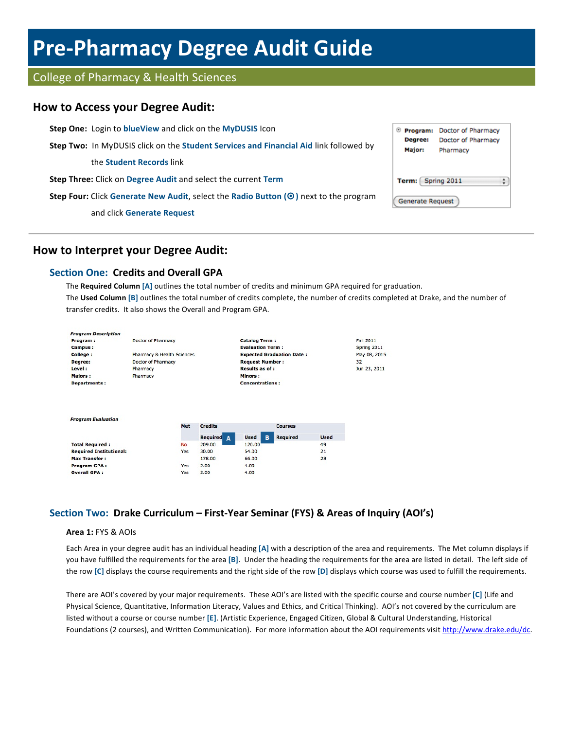# **Pre-Pharmacy Degree Audit Guide**

# College of Pharmacy & Health Sciences

## **How to Access your Degree Audit:**

**Step One:** Login to **blueView** and click on the **MyDUSIS** Icon <sup>®</sup> Program: Doctor of Pharmacy Degree: Doctor of Pharmacy **Step Two:** In MyDUSIS click on the **Student Services and Financial Aid** link followed by **Major:** Pharmacy the **Student Records** link **Step Three:** Click on Degree Audit and select the current Term Term: Spring 2011  $\ddot{\dot{}}$ **Step Four:** Click Generate New Audit, select the Radio Button ( $\odot$ ) next to the program **Generate Request** and click **Generate Request**

# **How to Interpret your Degree Audit:**

## **Section One: Credits and Overall GPA**

The **Required Column** [A] outlines the total number of credits and minimum GPA required for graduation. The Used Column [B] outlines the total number of credits complete, the number of credits completed at Drake, and the number of transfer credits. It also shows the Overall and Program GPA.



## **Section Two: Drake Curriculum – First-Year Seminar (FYS) & Areas of Inquiry (AOI's)**

#### **Area 1: FYS & AOIs**

Each Area in your degree audit has an individual heading [A] with a description of the area and requirements. The Met column displays if you have fulfilled the requirements for the area [B]. Under the heading the requirements for the area are listed in detail. The left side of the row [C] displays the course requirements and the right side of the row [D] displays which course was used to fulfill the requirements.

There are AOI's covered by your major requirements. These AOI's are listed with the specific course and course number [C] (Life and Physical Science, Quantitative, Information Literacy, Values and Ethics, and Critical Thinking). AOI's not covered by the curriculum are listed without a course or course number [E]. (Artistic Experience, Engaged Citizen, Global & Cultural Understanding, Historical Foundations (2 courses), and Written Communication). For more information about the AOI requirements visit http://www.drake.edu/dc.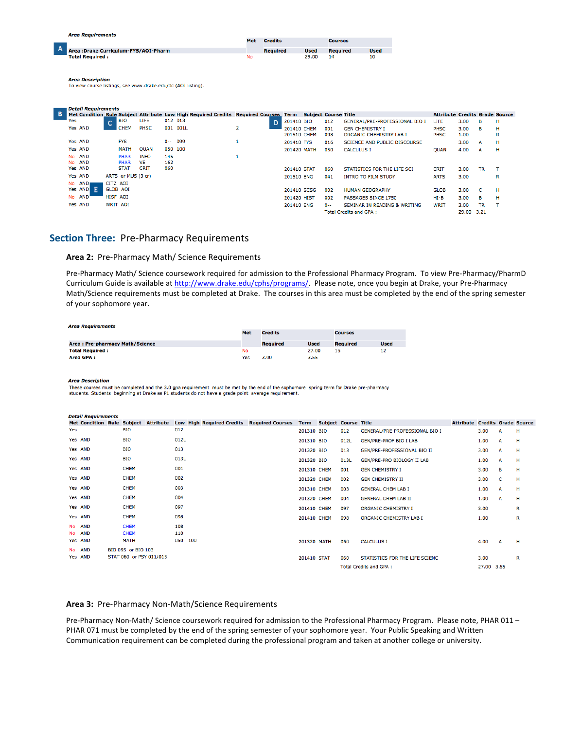|   | <b>Area Requirements</b>                                                                |     |                 |             |                 |             |  |
|---|-----------------------------------------------------------------------------------------|-----|-----------------|-------------|-----------------|-------------|--|
|   |                                                                                         | Met | <b>Credits</b>  |             | <b>Courses</b>  |             |  |
| A | Area : Drake Curriculum-FYS/AOI-Pharm                                                   |     | <b>Required</b> | <b>Used</b> | <b>Required</b> | <b>Used</b> |  |
|   | <b>Total Required:</b>                                                                  | No  |                 | 29.00       | 14              | 10          |  |
|   | <b>Area Description</b><br>To view course listings, see www.drake.edu/dc (AOI listing). |     |                 |             |                 |             |  |
|   | - Detail Requirements                                                                   |     |                 |             |                 |             |  |

| B. |     |                        |                 |                            |                          |            |          | Met Condition Rule Subject Attribute Low High Required Credits Required Courses Term Subject Course Title |                 |                            |            |                                                          | <b>Attribute Credits Grade Source</b> |              |           |        |
|----|-----|------------------------|-----------------|----------------------------|--------------------------|------------|----------|-----------------------------------------------------------------------------------------------------------|-----------------|----------------------------|------------|----------------------------------------------------------|---------------------------------------|--------------|-----------|--------|
|    | Yes |                        | $\overline{ }$  | <b>BIO</b>                 | LIFE                     | 012 013    |          |                                                                                                           | 201410 BIO<br>n |                            | 012        | GENERAL/PRE-PROFESSIONAL BIO I                           | LIFE                                  | 3.00         | в.        | н      |
|    |     | Yes AND                |                 | <b>CHEM</b>                | PHSC                     |            | 001 001L |                                                                                                           |                 | 201410 CHEM<br>201510 CHEM | 001<br>098 | <b>GEN CHEMISTRY I</b><br><b>ORGANIC CHEMISTRY LAB I</b> | PHSC<br>PHSC                          | 3.00<br>1.00 | в         | н<br>R |
|    |     | Yes AND                |                 | <b>FYS</b>                 |                          | $0 - -$    | 099      |                                                                                                           | 201410 FYS      |                            | 016        | SCIENCE AND PUBLIC DISCOURSE                             |                                       | 3.00         | A         | н      |
|    |     | Yes AND                |                 | MATH                       | <b>QUAN</b>              | 050 100    |          |                                                                                                           |                 | 201420 MATH                | 050        | <b>CALCULUS I</b>                                        | <b>OUAN</b>                           | 4.00         | A         | н      |
|    |     | No AND<br>No AND       |                 | <b>PHAR</b><br><b>PHAR</b> | <b>INFO</b><br><b>VE</b> | 145<br>162 |          |                                                                                                           |                 |                            |            |                                                          |                                       |              |           |        |
|    |     | Yes AND                |                 | <b>STAT</b>                | <b>CRIT</b>              | 060        |          |                                                                                                           |                 | 201410 STAT                | 060        | STATISTICS FOR THE LIFE SCI                              | <b>CRIT</b>                           | 3.00         | TR        |        |
|    |     | Yes AND                |                 | ARTS or MUS (3 cr)         |                          |            |          |                                                                                                           | 201510 ENG      |                            | 041        | <b>INTRO TO FILM STUDY</b>                               | <b>ARTS</b>                           | 3.00         |           | R      |
|    |     | No AND<br>E<br>Yes AND | CITZ AOI        | <b>GLOB AOI</b>            |                          |            |          |                                                                                                           |                 | 201410 SCSG                | 002        | <b>HUMAN GEOGRAPHY</b>                                   | <b>GLOB</b>                           | 3.00         |           | н      |
|    |     | No AND                 | <b>HISF AOI</b> |                            |                          |            |          |                                                                                                           | 201420 HIST     |                            | 002        | PASSAGES SINCE 1750                                      | $HI-B$                                | 3.00         | <b>B</b>  | н      |
|    |     | Yes AND                |                 | WRIT AOI                   |                          |            |          |                                                                                                           | 201410 ENG      |                            | $0 -$      | SEMINAR IN READING & WRITING                             | <b>WRIT</b>                           | 3.00         | <b>TR</b> | т      |
|    |     |                        |                 |                            |                          |            |          |                                                                                                           |                 |                            |            | <b>Total Credits and GPA:</b>                            |                                       | 29.00 3.21   |           |        |

### **Section Three:** Pre-Pharmacy Requirements

#### Area 2: Pre-Pharmacy Math/ Science Requirements

Pre-Pharmacy Math/ Science coursework required for admission to the Professional Pharmacy Program. To view Pre-Pharmacy/PharmD Curriculum Guide is available at http://www.drake.edu/cphs/programs/. Please note, once you begin at Drake, your Pre-Pharmacy Math/Science requirements must be completed at Drake. The courses in this area must be completed by the end of the spring semester of your sophomore year.

| Area Requirements               |     |                 |             |                 |             |  |
|---------------------------------|-----|-----------------|-------------|-----------------|-------------|--|
|                                 | Met | <b>Credits</b>  |             | <b>Courses</b>  |             |  |
| Area: Pre-pharmacy Math/Science |     | <b>Required</b> | <b>Used</b> | <b>Required</b> | <b>Used</b> |  |
| <b>Total Required:</b>          | No  |                 | 27.00       | 15              | 12          |  |
| Area GPA:                       | Yes | 3.00            | 3.55        |                 |             |  |

**Area Description** 

These courses must be completed and the 3.0 gpa requirement must be met by the end of the sophomore spring term for Drake pre-pharmacy

students. Students beginning at Drake as P1 students do not have a grade point average requirement.

|     | <b>Detail Requirements</b>        |  |                         |                  |      |     |                                  |  |                         |             |                             |                               |                                    |                                       |            |              |   |
|-----|-----------------------------------|--|-------------------------|------------------|------|-----|----------------------------------|--|-------------------------|-------------|-----------------------------|-------------------------------|------------------------------------|---------------------------------------|------------|--------------|---|
|     | <b>Met Condition Rule Subject</b> |  |                         | <b>Attribute</b> |      |     | <b>Low High Required Credits</b> |  | <b>Required Courses</b> | <b>Term</b> | <b>Subject Course Title</b> |                               |                                    | <b>Attribute Credits Grade Source</b> |            |              |   |
| Yes |                                   |  | <b>BIO</b>              |                  | 012  |     |                                  |  |                         | 201310 BIO  |                             | 012                           | GENERAL/PRE-PROFESSIONAL BIO I     |                                       | 3.00       | A            | н |
|     | Yes AND                           |  | <b>BIO</b>              |                  | 012L |     |                                  |  |                         | 201310 BIO  |                             | 012L                          | <b>GEN/PRE-PROF BIO I LAB</b>      |                                       | 1.00       | A            | н |
|     | Yes AND                           |  | <b>BIO</b>              |                  | 013  |     |                                  |  |                         | 201320 BIO  |                             | 013                           | <b>GEN/PRE-PROFESSIONAL BIO II</b> |                                       | 3.00       | A            | н |
|     | Yes AND                           |  | <b>BIO</b>              |                  | 013L |     |                                  |  |                         | 201320 BIO  |                             | 013L                          | GEN/PRE-PRO BIOLOGY II LAB         |                                       | 1.00       | A            | н |
|     | Yes AND                           |  | <b>CHEM</b>             |                  | 001  |     |                                  |  |                         | 201310 CHEM |                             | 001                           | <b>GEN CHEMISTRY I</b>             |                                       | 3.00       | в            | н |
|     | Yes AND                           |  | <b>CHEM</b>             |                  | 002  |     |                                  |  |                         | 201320 CHEM |                             | 002                           | <b>GEN CHEMISTRY II</b>            |                                       | 3.00       | <b>C</b>     | н |
|     | Yes AND                           |  | <b>CHEM</b>             |                  | 003  |     |                                  |  |                         | 201310 CHEM |                             | 003                           | <b>GENERAL CHEM LAB I</b>          |                                       | 1.00       | A            | н |
|     | Yes AND                           |  | <b>CHEM</b>             |                  | 004  |     |                                  |  |                         | 201320 CHEM |                             | 004                           | <b>GENERAL CHEM LAB II</b>         |                                       | 1.00       | $\mathbf{A}$ | н |
|     | Yes AND                           |  | <b>CHEM</b>             |                  | 097  |     |                                  |  |                         | 201410 CHEM |                             | 097                           | <b>ORGANIC CHEMISTRY I</b>         |                                       | 3.00       |              | R |
|     | Yes AND                           |  | <b>CHEM</b>             |                  | 098  |     |                                  |  |                         | 201410 CHEM |                             | 098                           | ORGANIC CHEMISTRY LAB I            |                                       | 1.00       |              | R |
|     | No AND                            |  | <b>CHEM</b>             |                  | 108  |     |                                  |  |                         |             |                             |                               |                                    |                                       |            |              |   |
|     | No AND                            |  | <b>CHEM</b>             |                  | 110  |     |                                  |  |                         |             |                             |                               |                                    |                                       |            |              |   |
|     | Yes AND                           |  | <b>MATH</b>             |                  | 050  | 100 |                                  |  |                         | 201320 MATH |                             | 050                           | <b>CALCULUS I</b>                  |                                       | 4.00       | A            | н |
|     | No AND                            |  | BIO 095 or BIO 103      |                  |      |     |                                  |  |                         |             |                             |                               |                                    |                                       |            |              |   |
|     | Yes AND                           |  | STAT 060 or PSY 011/015 |                  |      |     |                                  |  |                         | 201410 STAT |                             | 060                           | STATISTICS FOR THE LIFE SCIENC     |                                       | 3.00       |              | R |
|     |                                   |  |                         |                  |      |     |                                  |  |                         |             |                             | <b>Total Credits and GPA:</b> |                                    |                                       | 27.00 3.55 |              |   |

#### Area 3: Pre-Pharmacy Non-Math/Science Requirements

Pre-Pharmacy Non-Math/ Science coursework required for admission to the Professional Pharmacy Program. Please note, PHAR 011 -PHAR 071 must be completed by the end of the spring semester of your sophomore year. Your Public Speaking and Written Communication requirement can be completed during the professional program and taken at another college or university.